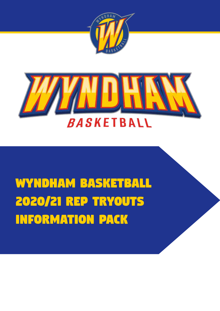



# *Wyndham Basketball 2020/21 REP TRYOUTS INFORMATION PACK*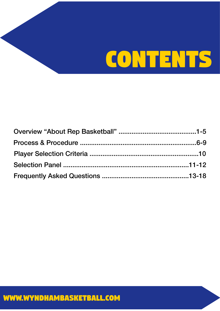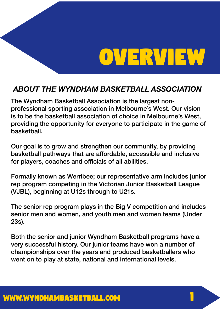# *OVERVIEW*

*1*

### *ABOUT THE WYNDHAM BASKETBALL ASSOCIATION*

The Wyndham Basketball Association is the largest nonprofessional sporting association in Melbourne's West. Our vision is to be the basketball association of choice in Melbourne's West, providing the opportunity for everyone to participate in the game of basketball.

Our goal is to grow and strengthen our community, by providing basketball pathways that are affordable, accessible and inclusive for players, coaches and officials of all abilities.

Formally known as Werribee; our representative arm includes junior rep program competing in the Victorian Junior Basketball League (VJBL), beginning at U12s through to U21s.

The senior rep program plays in the Big V competition and includes senior men and women, and youth men and women teams (Under 23s).

Both the senior and junior Wyndham Basketball programs have a very successful history. Our junior teams have won a number of championships over the years and produced basketballers who went on to play at state, national and international levels.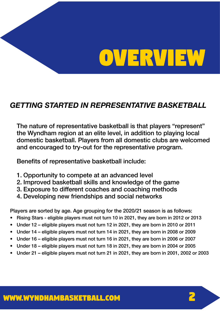# *OVERVIEW*

# *GETTING STARTED IN REPRESENTATIVE BASKETBALL*

The nature of representative basketball is that players "represent" the Wyndham region at an elite level, in addition to playing local domestic basketball. Players from all domestic clubs are welcomed and encouraged to try-out for the representative program.

Benefits of representative basketball include:

- 1. Opportunity to compete at an advanced level
- 2. Improved basketball skills and knowledge of the game
- 3. Exposure to different coaches and coaching methods
- 4. Developing new friendships and social networks

Players are sorted by age. Age grouping for the 2020/21 season is as follows:

- Rising Stars eligible players must not turn 10 in 2021, they are born in 2012 or 2013
- Under 12 eligible players must not turn 12 in 2021, they are born in 2010 or 2011
- Under 14 eligible players must not turn 14 in 2021, they are born in 2008 or 2009
- Under 16 eligible players must not turn 16 in 2021, they are born in 2006 or 2007
- Under 18 eligible players must not turn 18 in 2021, they are born in 2004 or 2005
- Under 21 eligible players must not turn 21 in 2021, they are born in 2001, 2002 or 2003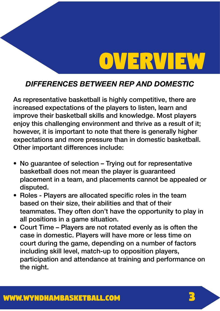# *OVERVIEW*

### *DIFFERENCES BETWEEN REP AND DOMESTIC*

As representative basketball is highly competitive, there are increased expectations of the players to listen, learn and improve their basketball skills and knowledge. Most players enjoy this challenging environment and thrive as a result of it; however, it is important to note that there is generally higher expectations and more pressure than in domestic basketball. Other important differences include:

- No quarantee of selection Trying out for representative basketball does not mean the player is guaranteed placement in a team, and placements cannot be appealed or disputed.
- Roles Players are allocated specific roles in the team based on their size, their abilities and that of their teammates. They often don't have the opportunity to play in all positions in a game situation.
- Court Time Players are not rotated evenly as is often the case in domestic. Players will have more or less time on court during the game, depending on a number of factors including skill level, match-up to opposition players, participation and attendance at training and performance on the night.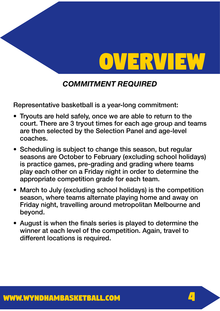

### *COMMITMENT REQUIRED*

Representative basketball is a year-long commitment:

- Tryouts are held safely, once we are able to return to the court. There are 3 tryout times for each age group and teams are then selected by the Selection Panel and age-level coaches.
- Scheduling is subject to change this season, but regular seasons are October to February (excluding school holidays) is practice games, pre-grading and grading where teams play each other on a Friday night in order to determine the appropriate competition grade for each team.
- March to July (excluding school holidays) is the competition season, where teams alternate playing home and away on Friday night, travelling around metropolitan Melbourne and beyond.
- August is when the finals series is played to determine the winner at each level of the competition. Again, travel to different locations is required.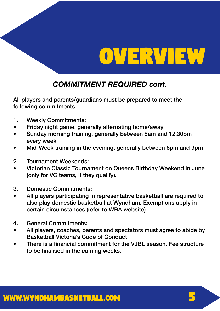

### *COMMITMENT REQUIRED cont.*

All players and parents/guardians must be prepared to meet the following commitments:

- 1. Weekly Commitments:
- Friday night game, generally alternating home/away
- Sunday morning training, generally between 8am and 12.30pm every week
- Mid-Week training in the evening, generally between 6pm and 9pm
- 2. Tournament Weekends:
- Victorian Classic Tournament on Queens Birthday Weekend in June (only for VC teams, if they qualify).
- 3. Domestic Commitments:
- All players participating in representative basketball are required to also play domestic basketball at Wyndham. Exemptions apply in certain circumstances (refer to WBA website).
- 4. General Commitments:
- All players, coaches, parents and spectators must agree to abide by Basketball Victoria's Code of Conduct
- There is a financial commitment for the VJBL season. Fee structure to be finalised in the coming weeks.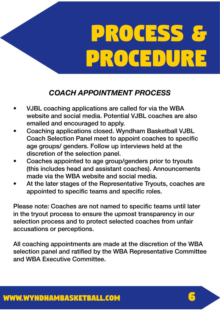# *COACH APPOINTMENT PROCESS*

- VJBL coaching applications are called for via the WBA website and social media. Potential VJBL coaches are also emailed and encouraged to apply.
- Coaching applications closed. Wyndham Basketball VJBL Coach Selection Panel meet to appoint coaches to specific age groups/ genders. Follow up interviews held at the discretion of the selection panel.
- Coaches appointed to age group/genders prior to tryouts (this includes head and assistant coaches). Announcements made via the WBA website and social media.
- At the later stages of the Representative Tryouts, coaches are appointed to specific teams and specific roles.

Please note: Coaches are not named to specific teams until later in the tryout process to ensure the upmost transparency in our selection process and to protect selected coaches from unfair accusations or perceptions.

All coaching appointments are made at the discretion of the WBA selection panel and ratified by the WBA Representative Committee and WBA Executive Committee.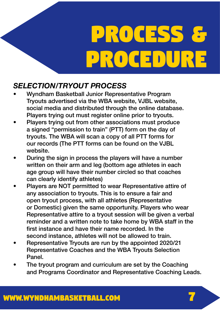### *SELECTION/TRYOUT PROCESS*

- Wyndham Basketball Junior Representative Program Tryouts advertised via the WBA website, VJBL website, social media and distributed through the online database. Players trying out must register online prior to tryouts.
- Players trying out from other associations must produce a signed "permission to train" (PTT) form on the day of tryouts. The WBA will scan a copy of all PTT forms for our records (The PTT forms can be found on the VJBL website.
- During the sign in process the players will have a number written on their arm and leg (bottom age athletes in each age group will have their number circled so that coaches can clearly identify athletes)
- Players are NOT permitted to wear Representative attire of any association to tryouts. This is to ensure a fair and open tryout process, with all athletes (Representative or Domestic) given the same opportunity. Players who wear Representative attire to a tryout session will be given a verbal reminder and a written note to take home by WBA staff in the first instance and have their name recorded. In the second instance, athletes will not be allowed to train.
- Representative Tryouts are run by the appointed 2020/21 Representative Coaches and the WBA Tryouts Selection Panel.
- The tryout program and curriculum are set by the Coaching and Programs Coordinator and Representative Coaching Leads.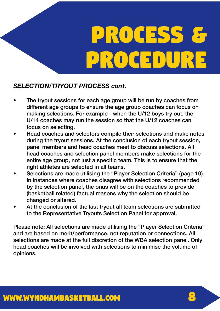#### *SELECTION/TRYOUT PROCESS cont.*

- The tryout sessions for each age group will be run by coaches from different age groups to ensure the age group coaches can focus on making selections. For example - when the U/12 boys try out, the U/14 coaches may run the session so that the U/12 coaches can focus on selecting.
- Head coaches and selectors compile their selections and make notes during the tryout sessions. At the conclusion of each tryout session, panel members and head coaches meet to discuss selections. All head coaches and selection panel members make selections for the entire age group, not just a specific team. This is to ensure that the right athletes are selected in all teams.
- Selections are made utilising the "Player Selection Criteria" (page 10). In instances where coaches disagree with selections recommended by the selection panel, the onus will be on the coaches to provide (basketball related) factual reasons why the selection should be changed or altered.
- At the conclusion of the last tryout all team selections are submitted to the Representative Tryouts Selection Panel for approval.

Please note: All selections are made utilising the "Player Selection Criteria" and are based on merit/performance, not reputation or connections. All selections are made at the full discretion of the WBA selection panel. Only head coaches will be involved with selections to minimise the volume of opinions.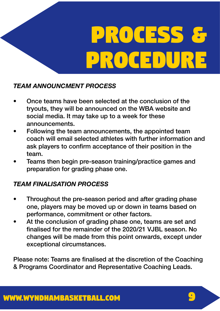### *TEAM ANNOUNCMENT PROCESS*

- Once teams have been selected at the conclusion of the tryouts, they will be announced on the WBA website and social media. It may take up to a week for these announcements.
- Following the team announcements, the appointed team coach will email selected athletes with further information and ask players to confirm acceptance of their position in the team.
- Teams then begin pre-season training/practice games and preparation for grading phase one.

### *TEAM FINALISATION PROCESS*

- Throughout the pre-season period and after grading phase one, players may be moved up or down in teams based on performance, commitment or other factors.
- At the conclusion of grading phase one, teams are set and finalised for the remainder of the 2020/21 VJBL season. No changes will be made from this point onwards, except under exceptional circumstances.

Please note: Teams are finalised at the discretion of the Coaching & Programs Coordinator and Representative Coaching Leads.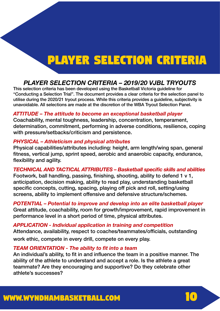# *Player selection criteria*

### *PLAYER SELECTION CRITERIA – 2019/20 VJBL TRYOUTS*

This selection criteria has been developed using the Basketball Victoria guideline for "Conducting a Selection Trial". The document provides a clear criteria for the selection panel to utilise during the 2020/21 tryout process. While this criteria provides a guideline, subjectivity is unavoidable. All selections are made at the discretion of the WBA Tryout Selection Panel.

#### *ATTITUDE – The attitude to become an exceptional basketball player*

Coachability, mental toughness, leadership, concentration, temperament, determination, commitment, performing in adverse conditions, resilience, coping with pressure/setbacks/criticism and persistence.

#### *PHYSICAL – Athleticism and physical attributes*

Physical capabilities/attributes including: height, arm length/wing span, general fitness, vertical jump, sprint speed, aerobic and anaerobic capacity, endurance, flexibility and agility.

#### *TECHNICAL AND TACTICAL ATTRIBUTES – Basketball specific skills and abilities*

Footwork, ball handling, passing, finishing, shooting, ability to defend 1 v 1, anticipation, decision making, ability to read play, understanding basketball specific concepts, cutting, spacing, playing off pick and roll, setting/using screens, ability to implement offensive and defensive structure/schemes.

*POTENTIAL – Potential to improve and develop into an elite basketball player* Great attitude, coachability, room for growth/improvement, rapid improvement in performance level in a short period of time, physical attributes.

#### *APPLICATION - Individual application in training and competition* Attendance, availability, respect to coaches/teammates/officials, outstanding work ethic, compete in every drill, compete on every play.

#### *TEAM ORIENTATION - The ability to fit into a team*

An individual's ability, to fit in and influence the team in a positive manner. The ability of the athlete to understand and accept a role. Is the athlete a great teammate? Are they encouraging and supportive? Do they celebrate other athlete's successes?

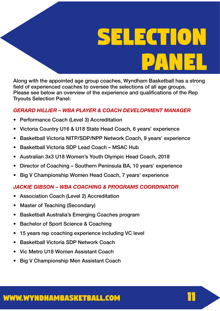# *selection PANEL*

Along with the appointed age group coaches, Wyndham Basketball has a strong field of experienced coaches to oversee the selections of all age groups. Please see below an overview of the experience and qualifications of the Rep Tryouts Selection Panel:

#### *GERARD HILLIER – WBA PLAYER & COACH DEVELOPMENT MANAGER*

- Performance Coach (Level 3) Accreditation
- Victoria Country U16 & U18 State Head Coach, 6 years' experience
- Basketball Victoria NITP/SDP/NPP Network Coach, 9 years' experience
- Basketball Victoria SDP Lead Coach MSAC Hub
- Australian 3x3 U18 Women's Youth Olympic Head Coach, 2018
- Director of Coaching Southern Peninsula BA, 10 years' experience
- Big V Championship Women Head Coach, 7 years' experience

#### *JACKIE GIBSON – WBA COACHING & PROGRAMS COORDINATOR*

- Association Coach (Level 2) Accreditation
- Master of Teaching (Secondary)
- Basketball Australia's Emerging Coaches program
- Bachelor of Sport Science & Coaching
- 15 years rep coaching experience including VC level
- Basketball Victoria SDP Network Coach
- Vic Metro U18 Women Assistant Coach
- Big V Championship Men Assistant Coach

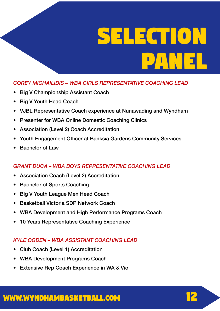# *selection PANEL*

#### *COREY MICHAILIDIS – WBA GIRLS REPRESENTATIVE COACHING LEAD*

- Big V Championship Assistant Coach
- Big V Youth Head Coach
- VJBL Representative Coach experience at Nunawading and Wyndham
- Presenter for WBA Online Domestic Coaching Clinics
- Association (Level 2) Coach Accreditation
- Youth Engagement Officer at Banksia Gardens Community Services
- Bachelor of Law

#### *GRANT DUCA – WBA BOYS REPRESENTATIVE COACHING LEAD*

- Association Coach (Level 2) Accreditation
- Bachelor of Sports Coaching
- Big V Youth League Men Head Coach
- Basketball Victoria SDP Network Coach
- WBA Development and High Performance Programs Coach
- 10 Years Representative Coaching Experience

#### *KYLE OGDEN – WBA ASSISTANT COACHING LEAD*

- Club Coach (Level 1) Accreditation
- WBA Development Programs Coach
- Extensive Rep Coach Experience in WA & Vic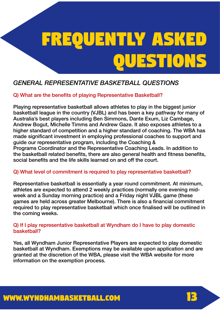### *GENERAL REPRESENTATIVE BASKETBALL QUESTIONS*

#### Q) What are the benefits of playing Representative Basketball?

Playing representative basketball allows athletes to play in the biggest junior basketball league in the country (VJBL) and has been a key pathway for many of Australia's best players including Ben Simmons, Dante Exum, Liz Cambage, Andrew Bogut, Michelle Timms and Andrew Gaze. It also exposes athletes to a higher standard of competition and a higher standard of coaching. The WBA has made significant investment in employing professional coaches to support and guide our representative program, including the Coaching & Programs Coordinator and the Representative Coaching Leads. In addition to the basketball related benefits, there are also general health and fitness benefits, social benefits and the life skills learned on and off the court.

#### Q) What level of commitment is required to play representative basketball?

Representative basketball is essentially a year round commitment. At minimum, athletes are expected to attend 2 weekly practices (normally one evening midweek and a Sunday morning practice) and a Friday night VJBL game (these games are held across greater Melbourne). There is also a financial commitment required to play representative basketball which once finalised will be outlined in the coming weeks.

#### Q) If I play representative basketball at Wyndham do I have to play domestic basketball?

Yes, all Wyndham Junior Representative Players are expected to play domestic basketball at Wyndham. Exemptions may be available upon application and are granted at the discretion of the WBA, please visit the WBA website for more information on the exemption process.

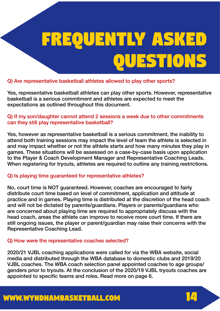#### Q) Are representative basketball athletes allowed to play other sports?

Yes, representative basketball athletes can play other sports. However, representative basketball is a serious commitment and athletes are expected to meet the expectations as outlined throughout this document.

#### Q) If my son/daughter cannot attend 2 sessions a week due to other commitments can they still play representative basketball?

Yes, however as representative basketball is a serious commitment, the inability to attend both training sessions may impact the level of team the athlete is selected in and may impact whether or not the athlete starts and how many minutes they play in games. These situations will be assessed on a case-by-case basis upon application to the Player & Coach Development Manager and Representative Coaching Leads. When registering for tryouts, athletes are required to outline any training restrictions.

#### Q) Is playing time guaranteed for representative athletes?

No, court time is NOT guaranteed. However, coaches are encouraged to fairly distribute court time based on level of commitment, application and attitude at practice and in games. Playing time is distributed at the discretion of the head coach and will not be dictated by parents/guardians. Players or parents/guardians who are concerned about playing time are required to appropriately discuss with the head coach, areas the athlete can improve to receive more court time. If there are still ongoing issues, the player or parent/guardian may raise their concerns with the Representative Coaching Lead.

#### Q) How were the representative coaches selected?

2020/21 VJBL coaching applications were called for via the WBA website, social media and distributed through the WBA database to domestic clubs and 2019/20 VJBL coaches. The WBA coach selection panel appointed coaches to age groups/ genders prior to tryouts. At the conclusion of the 2020/19 VJBL tryouts coaches are appointed to specific teams and roles. Read more on page 6.

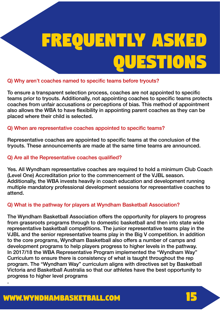#### Q) Why aren't coaches named to specific teams before tryouts?

To ensure a transparent selection process, coaches are not appointed to specific teams prior to tryouts. Additionally, not appointing coaches to specific teams protects coaches from unfair accusations or perceptions of bias. This method of appointment also allows the WBA to have flexibility in appointing parent coaches as they can be placed where their child is selected.

#### Q) When are representative coaches appointed to specific teams?

Representative coaches are appointed to specific teams at the conclusion of the tryouts. These announcements are made at the same time teams are announced.

#### Q) Are all the Representative coaches qualified?

Yes. All Wyndham representative coaches are required to hold a minimum Club Coach (Level One) Accreditation prior to the commencement of the VJBL season. Additionally, the WBA invests heavily in coach education and development running multiple mandatory professional development sessions for representative coaches to attend.

#### Q) What is the pathway for players at Wyndham Basketball Association?

The Wyndham Basketball Association offers the opportunity for players to progress from grassroots programs through to domestic basketball and then into state wide representative basketball competitions. The junior representative teams play in the VJBL and the senior representative teams play in the Big V competition. In addition to the core programs, Wyndham Basketball also offers a number of camps and development programs to help players progress to higher levels in the pathway. In 2017/18 the WBA Representative Program implemented the "Wyndham Way" Curriculum to ensure there is consistency of what is taught throughout the rep program. The "Wyndham Way" curriculum aligns with directives set by Basketball Victoria and Basketball Australia so that our athletes have the best opportunity to progress to higher level programs .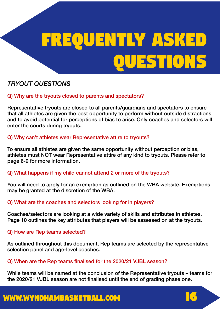### *TRYOUT QUESTIONS*

#### Q) Why are the tryouts closed to parents and spectators?

Representative tryouts are closed to all parents/guardians and spectators to ensure that all athletes are given the best opportunity to perform without outside distractions and to avoid potential for perceptions of bias to arise. Only coaches and selectors will enter the courts during tryouts.

#### Q) Why can't athletes wear Representative attire to tryouts?

To ensure all athletes are given the same opportunity without perception or bias, athletes must NOT wear Representative attire of any kind to tryouts. Please refer to page 6-9 for more information.

#### Q) What happens if my child cannot attend 2 or more of the tryouts?

You will need to apply for an exemption as outlined on the WBA website. Exemptions may be granted at the discretion of the WBA.

#### Q) What are the coaches and selectors looking for in players?

Coaches/selectors are looking at a wide variety of skills and attributes in athletes. Page 10 outlines the key attributes that players will be assessed on at the tryouts.

#### Q) How are Rep teams selected?

As outlined throughout this document, Rep teams are selected by the representative selection panel and age-level coaches.

#### Q) When are the Rep teams finalised for the 2020/21 VJBL season?

While teams will be named at the conclusion of the Representative tryouts – teams for the 2020/21 VJBL season are not finalised until the end of grading phase one.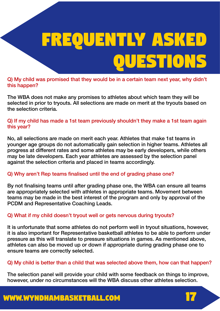Q) My child was promised that they would be in a certain team next year, why didn't this happen?

The WBA does not make any promises to athletes about which team they will be selected in prior to tryouts. All selections are made on merit at the tryouts based on the selection criteria.

Q) If my child has made a 1st team previously shouldn't they make a 1st team again this year?

No, all selections are made on merit each year. Athletes that make 1st teams in younger age groups do not automatically gain selection in higher teams. Athletes all progress at different rates and some athletes may be early developers, while others may be late developers. Each year athletes are assessed by the selection panel against the selection criteria and placed in teams accordingly.

#### Q) Why aren't Rep teams finalised until the end of grading phase one?

By not finalising teams until after grading phase one, the WBA can ensure all teams are appropriately selected with athletes in appropriate teams. Movement between teams may be made in the best interest of the program and only by approval of the PCDM and Representative Coaching Leads.

#### Q) What if my child doesn't tryout well or gets nervous during tryouts?

It is unfortunate that some athletes do not perform well in tryout situations, however, it is also important for Representative basketball athletes to be able to perform under pressure as this will translate to pressure situations in games. As mentioned above, athletes can also be moved up or down if appropriate during grading phase one to ensure teams are correctly selected.

#### Q) My child is better than a child that was selected above them, how can that happen?

The selection panel will provide your child with some feedback on things to improve, however, under no circumstances will the WBA discuss other athletes selection.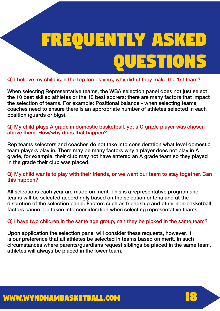Q) I believe my child is in the top ten players, why didn't they make the 1st team?

When selecting Representative teams, the WBA selection panel does not just select the 10 best skilled athletes or the 10 best scorers; there are many factors that impact the selection of teams. For example: Positional balance - when selecting teams, coaches need to ensure there is an appropriate number of athletes selected in each position (guards or bigs).

Q) My child plays A grade in domestic basketball, yet a C grade player was chosen above them. How/why does that happen?

Rep teams selectors and coaches do not take into consideration what level domestic team players play in. There may be many factors why a player does not play in A grade, for example, their club may not have entered an A grade team so they played in the grade their club was placed.

#### Q) My child wants to play with their friends, or we want our team to stay together. Can this happen?

All selections each year are made on merit. This is a representative program and teams will be selected accordingly based on the selection criteria and at the discretion of the selection panel. Factors such as friendship and other non-basketball factors cannot be taken into consideration when selecting representative teams.

#### Q) I have two children in the same age group, can they be picked in the same team?

Upon application the selection panel will consider these requests, however, it is our preference that all athletes be selected in teams based on merit. In such circumstances where parents/guardians request siblings be placed in the same team, athletes will always be placed in the lower team.